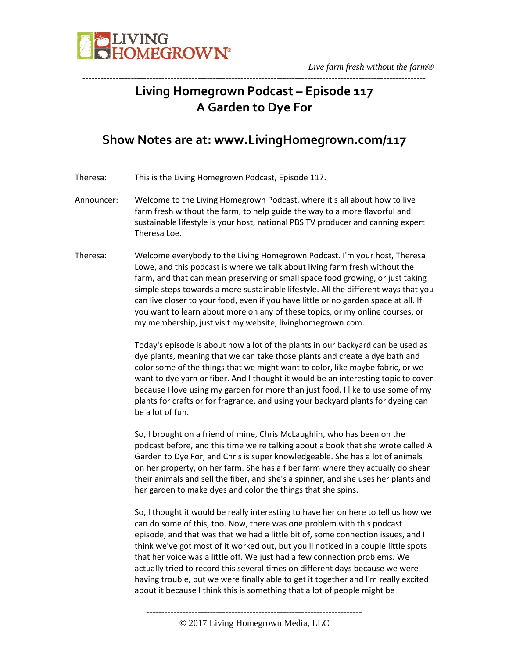

### **Living Homegrown Podcast – Episode 117 A Garden to Dye For**

-----------------------------------------------------------------------------------------------------------------

### **Show Notes are at: www.LivingHomegrown.com/117**

- Theresa: This is the Living Homegrown Podcast, Episode 117.
- Announcer: Welcome to the Living Homegrown Podcast, where it's all about how to live farm fresh without the farm, to help guide the way to a more flavorful and sustainable lifestyle is your host, national PBS TV producer and canning expert Theresa Loe.
- Theresa: Welcome everybody to the Living Homegrown Podcast. I'm your host, Theresa Lowe, and this podcast is where we talk about living farm fresh without the farm, and that can mean preserving or small space food growing, or just taking simple steps towards a more sustainable lifestyle. All the different ways that you can live closer to your food, even if you have little or no garden space at all. If you want to learn about more on any of these topics, or my online courses, or my membership, just visit my website, livinghomegrown.com.

Today's episode is about how a lot of the plants in our backyard can be used as dye plants, meaning that we can take those plants and create a dye bath and color some of the things that we might want to color, like maybe fabric, or we want to dye yarn or fiber. And I thought it would be an interesting topic to cover because I love using my garden for more than just food. I like to use some of my plants for crafts or for fragrance, and using your backyard plants for dyeing can be a lot of fun.

So, I brought on a friend of mine, Chris McLaughlin, who has been on the podcast before, and this time we're talking about a book that she wrote called A Garden to Dye For, and Chris is super knowledgeable. She has a lot of animals on her property, on her farm. She has a fiber farm where they actually do shear their animals and sell the fiber, and she's a spinner, and she uses her plants and her garden to make dyes and color the things that she spins.

So, I thought it would be really interesting to have her on here to tell us how we can do some of this, too. Now, there was one problem with this podcast episode, and that was that we had a little bit of, some connection issues, and I think we've got most of it worked out, but you'll noticed in a couple little spots that her voice was a little off. We just had a few connection problems. We actually tried to record this several times on different days because we were having trouble, but we were finally able to get it together and I'm really excited about it because I think this is something that a lot of people might be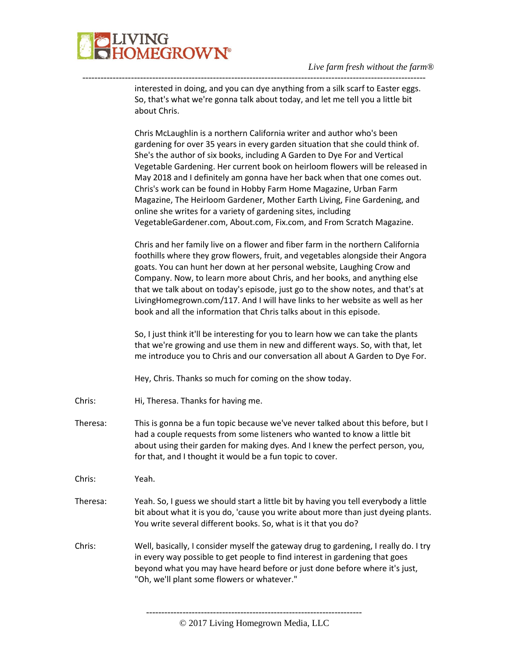

interested in doing, and you can dye anything from a silk scarf to Easter eggs. So, that's what we're gonna talk about today, and let me tell you a little bit about Chris.

-----------------------------------------------------------------------------------------------------------------

Chris McLaughlin is a northern California writer and author who's been gardening for over 35 years in every garden situation that she could think of. She's the author of six books, including A Garden to Dye For and Vertical Vegetable Gardening. Her current book on heirloom flowers will be released in May 2018 and I definitely am gonna have her back when that one comes out. Chris's work can be found in Hobby Farm Home Magazine, Urban Farm Magazine, The Heirloom Gardener, Mother Earth Living, Fine Gardening, and online she writes for a variety of gardening sites, including VegetableGardener.com, About.com, Fix.com, and From Scratch Magazine.

Chris and her family live on a flower and fiber farm in the northern California foothills where they grow flowers, fruit, and vegetables alongside their Angora goats. You can hunt her down at her personal website, Laughing Crow and Company. Now, to learn more about Chris, and her books, and anything else that we talk about on today's episode, just go to the show notes, and that's at LivingHomegrown.com/117. And I will have links to her website as well as her book and all the information that Chris talks about in this episode.

So, I just think it'll be interesting for you to learn how we can take the plants that we're growing and use them in new and different ways. So, with that, let me introduce you to Chris and our conversation all about A Garden to Dye For.

Hey, Chris. Thanks so much for coming on the show today.

- Chris: Hi, Theresa. Thanks for having me.
- Theresa: This is gonna be a fun topic because we've never talked about this before, but I had a couple requests from some listeners who wanted to know a little bit about using their garden for making dyes. And I knew the perfect person, you, for that, and I thought it would be a fun topic to cover.

Chris: Yeah.

- Theresa: Yeah. So, I guess we should start a little bit by having you tell everybody a little bit about what it is you do, 'cause you write about more than just dyeing plants. You write several different books. So, what is it that you do?
- Chris: Well, basically, I consider myself the gateway drug to gardening, I really do. I try in every way possible to get people to find interest in gardening that goes beyond what you may have heard before or just done before where it's just, "Oh, we'll plant some flowers or whatever."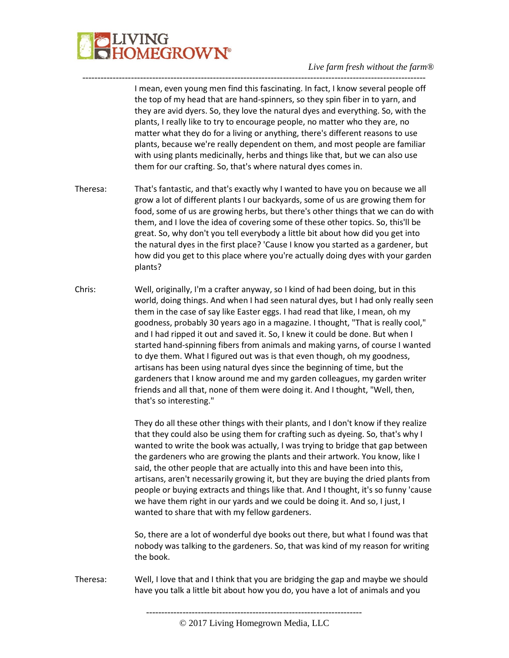## **LIVING<br>HOMEGROWN®**

#### *Live farm fresh without the farm®*

I mean, even young men find this fascinating. In fact, I know several people off the top of my head that are hand-spinners, so they spin fiber in to yarn, and they are avid dyers. So, they love the natural dyes and everything. So, with the plants, I really like to try to encourage people, no matter who they are, no matter what they do for a living or anything, there's different reasons to use plants, because we're really dependent on them, and most people are familiar with using plants medicinally, herbs and things like that, but we can also use them for our crafting. So, that's where natural dyes comes in.

Theresa: That's fantastic, and that's exactly why I wanted to have you on because we all grow a lot of different plants I our backyards, some of us are growing them for food, some of us are growing herbs, but there's other things that we can do with them, and I love the idea of covering some of these other topics. So, this'll be great. So, why don't you tell everybody a little bit about how did you get into the natural dyes in the first place? 'Cause I know you started as a gardener, but how did you get to this place where you're actually doing dyes with your garden plants?

-----------------------------------------------------------------------------------------------------------------

Chris: Well, originally, I'm a crafter anyway, so I kind of had been doing, but in this world, doing things. And when I had seen natural dyes, but I had only really seen them in the case of say like Easter eggs. I had read that like, I mean, oh my goodness, probably 30 years ago in a magazine. I thought, "That is really cool," and I had ripped it out and saved it. So, I knew it could be done. But when I started hand-spinning fibers from animals and making yarns, of course I wanted to dye them. What I figured out was is that even though, oh my goodness, artisans has been using natural dyes since the beginning of time, but the gardeners that I know around me and my garden colleagues, my garden writer friends and all that, none of them were doing it. And I thought, "Well, then, that's so interesting."

> They do all these other things with their plants, and I don't know if they realize that they could also be using them for crafting such as dyeing. So, that's why I wanted to write the book was actually, I was trying to bridge that gap between the gardeners who are growing the plants and their artwork. You know, like I said, the other people that are actually into this and have been into this, artisans, aren't necessarily growing it, but they are buying the dried plants from people or buying extracts and things like that. And I thought, it's so funny 'cause we have them right in our yards and we could be doing it. And so, I just, I wanted to share that with my fellow gardeners.

> So, there are a lot of wonderful dye books out there, but what I found was that nobody was talking to the gardeners. So, that was kind of my reason for writing the book.

Theresa: Well, I love that and I think that you are bridging the gap and maybe we should have you talk a little bit about how you do, you have a lot of animals and you

<sup>-----------------------------------------------------------------------</sup>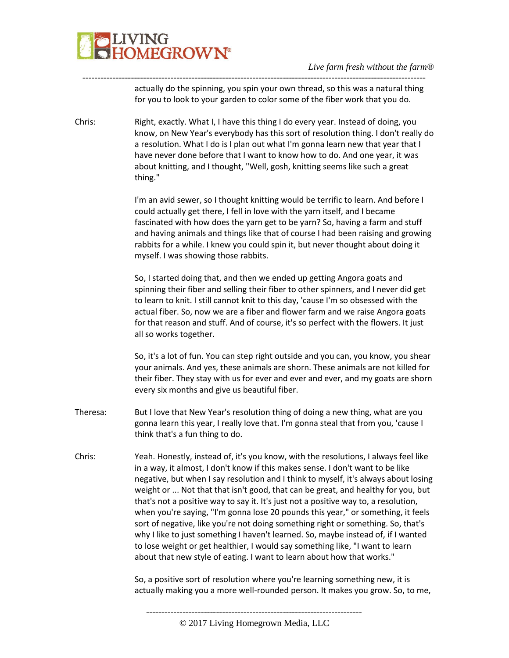

actually do the spinning, you spin your own thread, so this was a natural thing for you to look to your garden to color some of the fiber work that you do.

Chris: Right, exactly. What I, I have this thing I do every year. Instead of doing, you know, on New Year's everybody has this sort of resolution thing. I don't really do a resolution. What I do is I plan out what I'm gonna learn new that year that I have never done before that I want to know how to do. And one year, it was about knitting, and I thought, "Well, gosh, knitting seems like such a great thing."

-----------------------------------------------------------------------------------------------------------------

I'm an avid sewer, so I thought knitting would be terrific to learn. And before I could actually get there, I fell in love with the yarn itself, and I became fascinated with how does the yarn get to be yarn? So, having a farm and stuff and having animals and things like that of course I had been raising and growing rabbits for a while. I knew you could spin it, but never thought about doing it myself. I was showing those rabbits.

So, I started doing that, and then we ended up getting Angora goats and spinning their fiber and selling their fiber to other spinners, and I never did get to learn to knit. I still cannot knit to this day, 'cause I'm so obsessed with the actual fiber. So, now we are a fiber and flower farm and we raise Angora goats for that reason and stuff. And of course, it's so perfect with the flowers. It just all so works together.

So, it's a lot of fun. You can step right outside and you can, you know, you shear your animals. And yes, these animals are shorn. These animals are not killed for their fiber. They stay with us for ever and ever and ever, and my goats are shorn every six months and give us beautiful fiber.

- Theresa: But I love that New Year's resolution thing of doing a new thing, what are you gonna learn this year, I really love that. I'm gonna steal that from you, 'cause I think that's a fun thing to do.
- Chris: Yeah. Honestly, instead of, it's you know, with the resolutions, I always feel like in a way, it almost, I don't know if this makes sense. I don't want to be like negative, but when I say resolution and I think to myself, it's always about losing weight or ... Not that that isn't good, that can be great, and healthy for you, but that's not a positive way to say it. It's just not a positive way to, a resolution, when you're saying, "I'm gonna lose 20 pounds this year," or something, it feels sort of negative, like you're not doing something right or something. So, that's why I like to just something I haven't learned. So, maybe instead of, if I wanted to lose weight or get healthier, I would say something like, "I want to learn about that new style of eating. I want to learn about how that works."

So, a positive sort of resolution where you're learning something new, it is actually making you a more well-rounded person. It makes you grow. So, to me,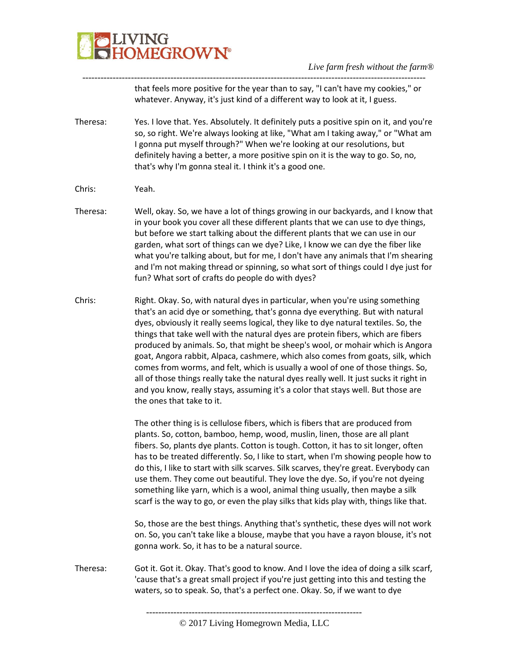

that feels more positive for the year than to say, "I can't have my cookies," or whatever. Anyway, it's just kind of a different way to look at it, I guess.

Theresa: Yes. I love that. Yes. Absolutely. It definitely puts a positive spin on it, and you're so, so right. We're always looking at like, "What am I taking away," or "What am I gonna put myself through?" When we're looking at our resolutions, but definitely having a better, a more positive spin on it is the way to go. So, no, that's why I'm gonna steal it. I think it's a good one.

-----------------------------------------------------------------------------------------------------------------

- Chris: Yeah.
- Theresa: Well, okay. So, we have a lot of things growing in our backyards, and I know that in your book you cover all these different plants that we can use to dye things, but before we start talking about the different plants that we can use in our garden, what sort of things can we dye? Like, I know we can dye the fiber like what you're talking about, but for me, I don't have any animals that I'm shearing and I'm not making thread or spinning, so what sort of things could I dye just for fun? What sort of crafts do people do with dyes?
- Chris: Right. Okay. So, with natural dyes in particular, when you're using something that's an acid dye or something, that's gonna dye everything. But with natural dyes, obviously it really seems logical, they like to dye natural textiles. So, the things that take well with the natural dyes are protein fibers, which are fibers produced by animals. So, that might be sheep's wool, or mohair which is Angora goat, Angora rabbit, Alpaca, cashmere, which also comes from goats, silk, which comes from worms, and felt, which is usually a wool of one of those things. So, all of those things really take the natural dyes really well. It just sucks it right in and you know, really stays, assuming it's a color that stays well. But those are the ones that take to it.

The other thing is is cellulose fibers, which is fibers that are produced from plants. So, cotton, bamboo, hemp, wood, muslin, linen, those are all plant fibers. So, plants dye plants. Cotton is tough. Cotton, it has to sit longer, often has to be treated differently. So, I like to start, when I'm showing people how to do this, I like to start with silk scarves. Silk scarves, they're great. Everybody can use them. They come out beautiful. They love the dye. So, if you're not dyeing something like yarn, which is a wool, animal thing usually, then maybe a silk scarf is the way to go, or even the play silks that kids play with, things like that.

So, those are the best things. Anything that's synthetic, these dyes will not work on. So, you can't take like a blouse, maybe that you have a rayon blouse, it's not gonna work. So, it has to be a natural source.

Theresa: Got it. Got it. Okay. That's good to know. And I love the idea of doing a silk scarf, 'cause that's a great small project if you're just getting into this and testing the waters, so to speak. So, that's a perfect one. Okay. So, if we want to dye

<sup>-----------------------------------------------------------------------</sup>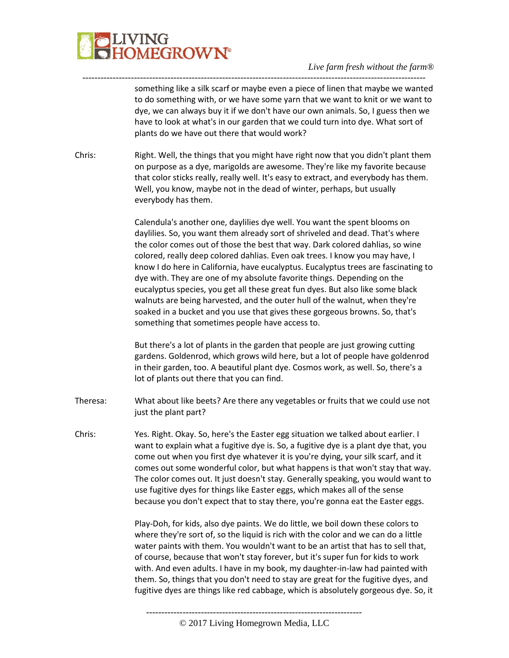# **JVING<br>HOMEGROWN®**

*Live farm fresh without the farm®*

something like a silk scarf or maybe even a piece of linen that maybe we wanted to do something with, or we have some yarn that we want to knit or we want to dye, we can always buy it if we don't have our own animals. So, I guess then we have to look at what's in our garden that we could turn into dye. What sort of plants do we have out there that would work?

Chris: Right. Well, the things that you might have right now that you didn't plant them on purpose as a dye, marigolds are awesome. They're like my favorite because that color sticks really, really well. It's easy to extract, and everybody has them. Well, you know, maybe not in the dead of winter, perhaps, but usually everybody has them.

-----------------------------------------------------------------------------------------------------------------

Calendula's another one, daylilies dye well. You want the spent blooms on daylilies. So, you want them already sort of shriveled and dead. That's where the color comes out of those the best that way. Dark colored dahlias, so wine colored, really deep colored dahlias. Even oak trees. I know you may have, I know I do here in California, have eucalyptus. Eucalyptus trees are fascinating to dye with. They are one of my absolute favorite things. Depending on the eucalyptus species, you get all these great fun dyes. But also like some black walnuts are being harvested, and the outer hull of the walnut, when they're soaked in a bucket and you use that gives these gorgeous browns. So, that's something that sometimes people have access to.

But there's a lot of plants in the garden that people are just growing cutting gardens. Goldenrod, which grows wild here, but a lot of people have goldenrod in their garden, too. A beautiful plant dye. Cosmos work, as well. So, there's a lot of plants out there that you can find.

- Theresa: What about like beets? Are there any vegetables or fruits that we could use not just the plant part?
- Chris: Yes. Right. Okay. So, here's the Easter egg situation we talked about earlier. I want to explain what a fugitive dye is. So, a fugitive dye is a plant dye that, you come out when you first dye whatever it is you're dying, your silk scarf, and it comes out some wonderful color, but what happens is that won't stay that way. The color comes out. It just doesn't stay. Generally speaking, you would want to use fugitive dyes for things like Easter eggs, which makes all of the sense because you don't expect that to stay there, you're gonna eat the Easter eggs.

Play-Doh, for kids, also dye paints. We do little, we boil down these colors to where they're sort of, so the liquid is rich with the color and we can do a little water paints with them. You wouldn't want to be an artist that has to sell that, of course, because that won't stay forever, but it's super fun for kids to work with. And even adults. I have in my book, my daughter-in-law had painted with them. So, things that you don't need to stay are great for the fugitive dyes, and fugitive dyes are things like red cabbage, which is absolutely gorgeous dye. So, it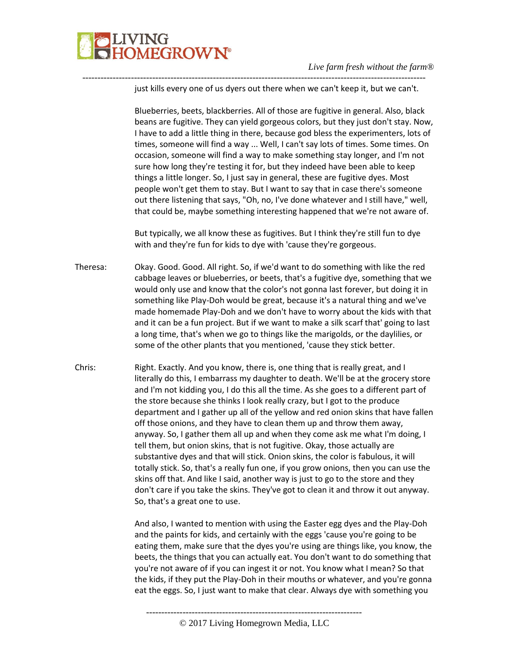

just kills every one of us dyers out there when we can't keep it, but we can't.

-----------------------------------------------------------------------------------------------------------------

Blueberries, beets, blackberries. All of those are fugitive in general. Also, black beans are fugitive. They can yield gorgeous colors, but they just don't stay. Now, I have to add a little thing in there, because god bless the experimenters, lots of times, someone will find a way ... Well, I can't say lots of times. Some times. On occasion, someone will find a way to make something stay longer, and I'm not sure how long they're testing it for, but they indeed have been able to keep things a little longer. So, I just say in general, these are fugitive dyes. Most people won't get them to stay. But I want to say that in case there's someone out there listening that says, "Oh, no, I've done whatever and I still have," well, that could be, maybe something interesting happened that we're not aware of.

But typically, we all know these as fugitives. But I think they're still fun to dye with and they're fun for kids to dye with 'cause they're gorgeous.

- Theresa: Okay. Good. Good. All right. So, if we'd want to do something with like the red cabbage leaves or blueberries, or beets, that's a fugitive dye, something that we would only use and know that the color's not gonna last forever, but doing it in something like Play-Doh would be great, because it's a natural thing and we've made homemade Play-Doh and we don't have to worry about the kids with that and it can be a fun project. But if we want to make a silk scarf that' going to last a long time, that's when we go to things like the marigolds, or the daylilies, or some of the other plants that you mentioned, 'cause they stick better.
- Chris: Right. Exactly. And you know, there is, one thing that is really great, and I literally do this, I embarrass my daughter to death. We'll be at the grocery store and I'm not kidding you, I do this all the time. As she goes to a different part of the store because she thinks I look really crazy, but I got to the produce department and I gather up all of the yellow and red onion skins that have fallen off those onions, and they have to clean them up and throw them away, anyway. So, I gather them all up and when they come ask me what I'm doing, I tell them, but onion skins, that is not fugitive. Okay, those actually are substantive dyes and that will stick. Onion skins, the color is fabulous, it will totally stick. So, that's a really fun one, if you grow onions, then you can use the skins off that. And like I said, another way is just to go to the store and they don't care if you take the skins. They've got to clean it and throw it out anyway. So, that's a great one to use.

And also, I wanted to mention with using the Easter egg dyes and the Play-Doh and the paints for kids, and certainly with the eggs 'cause you're going to be eating them, make sure that the dyes you're using are things like, you know, the beets, the things that you can actually eat. You don't want to do something that you're not aware of if you can ingest it or not. You know what I mean? So that the kids, if they put the Play-Doh in their mouths or whatever, and you're gonna eat the eggs. So, I just want to make that clear. Always dye with something you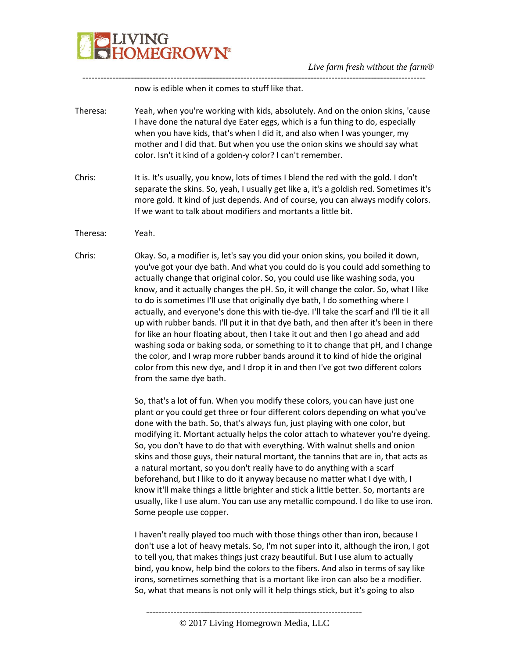

now is edible when it comes to stuff like that.

Theresa: Yeah, when you're working with kids, absolutely. And on the onion skins, 'cause I have done the natural dye Eater eggs, which is a fun thing to do, especially when you have kids, that's when I did it, and also when I was younger, my mother and I did that. But when you use the onion skins we should say what color. Isn't it kind of a golden-y color? I can't remember.

-----------------------------------------------------------------------------------------------------------------

- Chris: It is. It's usually, you know, lots of times I blend the red with the gold. I don't separate the skins. So, yeah, I usually get like a, it's a goldish red. Sometimes it's more gold. It kind of just depends. And of course, you can always modify colors. If we want to talk about modifiers and mortants a little bit.
- Theresa: Yeah.
- Chris: Okay. So, a modifier is, let's say you did your onion skins, you boiled it down, you've got your dye bath. And what you could do is you could add something to actually change that original color. So, you could use like washing soda, you know, and it actually changes the pH. So, it will change the color. So, what I like to do is sometimes I'll use that originally dye bath, I do something where I actually, and everyone's done this with tie-dye. I'll take the scarf and I'll tie it all up with rubber bands. I'll put it in that dye bath, and then after it's been in there for like an hour floating about, then I take it out and then I go ahead and add washing soda or baking soda, or something to it to change that pH, and I change the color, and I wrap more rubber bands around it to kind of hide the original color from this new dye, and I drop it in and then I've got two different colors from the same dye bath.

So, that's a lot of fun. When you modify these colors, you can have just one plant or you could get three or four different colors depending on what you've done with the bath. So, that's always fun, just playing with one color, but modifying it. Mortant actually helps the color attach to whatever you're dyeing. So, you don't have to do that with everything. With walnut shells and onion skins and those guys, their natural mortant, the tannins that are in, that acts as a natural mortant, so you don't really have to do anything with a scarf beforehand, but I like to do it anyway because no matter what I dye with, I know it'll make things a little brighter and stick a little better. So, mortants are usually, like I use alum. You can use any metallic compound. I do like to use iron. Some people use copper.

I haven't really played too much with those things other than iron, because I don't use a lot of heavy metals. So, I'm not super into it, although the iron, I got to tell you, that makes things just crazy beautiful. But I use alum to actually bind, you know, help bind the colors to the fibers. And also in terms of say like irons, sometimes something that is a mortant like iron can also be a modifier. So, what that means is not only will it help things stick, but it's going to also

<sup>-----------------------------------------------------------------------</sup>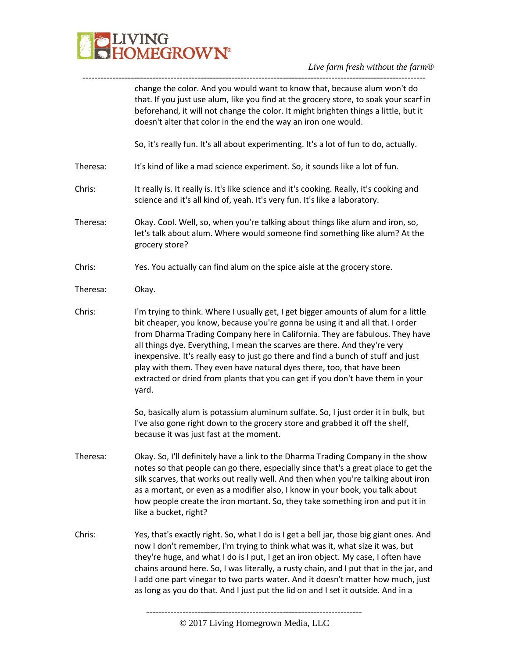

---------------------------------------------------------------------------------------------------------------- change the color. And you would want to know that, because alum won't do that. If you just use alum, like you find at the grocery store, to soak your scarf in beforehand, it will not change the color. It might brighten things a little, but it doesn't alter that color in the end the way an iron one would.

So, it's really fun. It's all about experimenting. It's a lot of fun to do, actually.

- Theresa: It's kind of like a mad science experiment. So, it sounds like a lot of fun.
- Chris: It really is. It really is. It's like science and it's cooking. Really, it's cooking and science and it's all kind of, yeah. It's very fun. It's like a laboratory.
- Theresa: Okay. Cool. Well, so, when you're talking about things like alum and iron, so, let's talk about alum. Where would someone find something like alum? At the grocery store?
- Chris: Yes. You actually can find alum on the spice aisle at the grocery store.
- Theresa: Okay.
- Chris: I'm trying to think. Where I usually get, I get bigger amounts of alum for a little bit cheaper, you know, because you're gonna be using it and all that. I order from Dharma Trading Company here in California. They are fabulous. They have all things dye. Everything, I mean the scarves are there. And they're very inexpensive. It's really easy to just go there and find a bunch of stuff and just play with them. They even have natural dyes there, too, that have been extracted or dried from plants that you can get if you don't have them in your yard.

So, basically alum is potassium aluminum sulfate. So, I just order it in bulk, but I've also gone right down to the grocery store and grabbed it off the shelf, because it was just fast at the moment.

- Theresa: Okay. So, I'll definitely have a link to the Dharma Trading Company in the show notes so that people can go there, especially since that's a great place to get the silk scarves, that works out really well. And then when you're talking about iron as a mortant, or even as a modifier also, I know in your book, you talk about how people create the iron mortant. So, they take something iron and put it in like a bucket, right?
- Chris: Yes, that's exactly right. So, what I do is I get a bell jar, those big giant ones. And now I don't remember, I'm trying to think what was it, what size it was, but they're huge, and what I do is I put, I get an iron object. My case, I often have chains around here. So, I was literally, a rusty chain, and I put that in the jar, and I add one part vinegar to two parts water. And it doesn't matter how much, just as long as you do that. And I just put the lid on and I set it outside. And in a

<sup>-----------------------------------------------------------------------</sup> © 2017 Living Homegrown Media, LLC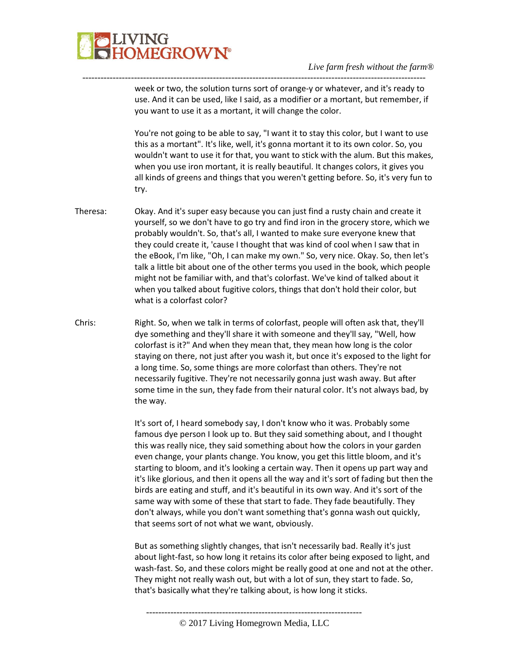

week or two, the solution turns sort of orange-y or whatever, and it's ready to use. And it can be used, like I said, as a modifier or a mortant, but remember, if you want to use it as a mortant, it will change the color.

-----------------------------------------------------------------------------------------------------------------

You're not going to be able to say, "I want it to stay this color, but I want to use this as a mortant". It's like, well, it's gonna mortant it to its own color. So, you wouldn't want to use it for that, you want to stick with the alum. But this makes, when you use iron mortant, it is really beautiful. It changes colors, it gives you all kinds of greens and things that you weren't getting before. So, it's very fun to try.

- Theresa: Okay. And it's super easy because you can just find a rusty chain and create it yourself, so we don't have to go try and find iron in the grocery store, which we probably wouldn't. So, that's all, I wanted to make sure everyone knew that they could create it, 'cause I thought that was kind of cool when I saw that in the eBook, I'm like, "Oh, I can make my own." So, very nice. Okay. So, then let's talk a little bit about one of the other terms you used in the book, which people might not be familiar with, and that's colorfast. We've kind of talked about it when you talked about fugitive colors, things that don't hold their color, but what is a colorfast color?
- Chris: Right. So, when we talk in terms of colorfast, people will often ask that, they'll dye something and they'll share it with someone and they'll say, "Well, how colorfast is it?" And when they mean that, they mean how long is the color staying on there, not just after you wash it, but once it's exposed to the light for a long time. So, some things are more colorfast than others. They're not necessarily fugitive. They're not necessarily gonna just wash away. But after some time in the sun, they fade from their natural color. It's not always bad, by the way.

It's sort of, I heard somebody say, I don't know who it was. Probably some famous dye person I look up to. But they said something about, and I thought this was really nice, they said something about how the colors in your garden even change, your plants change. You know, you get this little bloom, and it's starting to bloom, and it's looking a certain way. Then it opens up part way and it's like glorious, and then it opens all the way and it's sort of fading but then the birds are eating and stuff, and it's beautiful in its own way. And it's sort of the same way with some of these that start to fade. They fade beautifully. They don't always, while you don't want something that's gonna wash out quickly, that seems sort of not what we want, obviously.

But as something slightly changes, that isn't necessarily bad. Really it's just about light-fast, so how long it retains its color after being exposed to light, and wash-fast. So, and these colors might be really good at one and not at the other. They might not really wash out, but with a lot of sun, they start to fade. So, that's basically what they're talking about, is how long it sticks.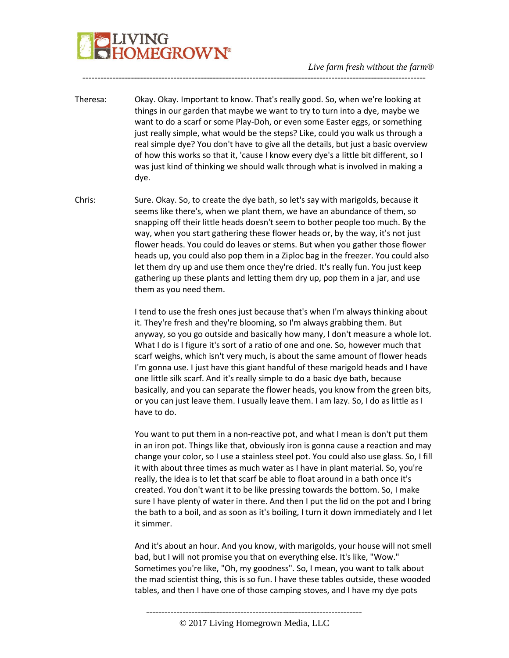# **LIVING<br>HOMEGROWN®**

Theresa: Okay. Okay. Important to know. That's really good. So, when we're looking at things in our garden that maybe we want to try to turn into a dye, maybe we want to do a scarf or some Play-Doh, or even some Easter eggs, or something just really simple, what would be the steps? Like, could you walk us through a real simple dye? You don't have to give all the details, but just a basic overview of how this works so that it, 'cause I know every dye's a little bit different, so I was just kind of thinking we should walk through what is involved in making a dye.

-----------------------------------------------------------------------------------------------------------------

Chris: Sure. Okay. So, to create the dye bath, so let's say with marigolds, because it seems like there's, when we plant them, we have an abundance of them, so snapping off their little heads doesn't seem to bother people too much. By the way, when you start gathering these flower heads or, by the way, it's not just flower heads. You could do leaves or stems. But when you gather those flower heads up, you could also pop them in a Ziploc bag in the freezer. You could also let them dry up and use them once they're dried. It's really fun. You just keep gathering up these plants and letting them dry up, pop them in a jar, and use them as you need them.

> I tend to use the fresh ones just because that's when I'm always thinking about it. They're fresh and they're blooming, so I'm always grabbing them. But anyway, so you go outside and basically how many, I don't measure a whole lot. What I do is I figure it's sort of a ratio of one and one. So, however much that scarf weighs, which isn't very much, is about the same amount of flower heads I'm gonna use. I just have this giant handful of these marigold heads and I have one little silk scarf. And it's really simple to do a basic dye bath, because basically, and you can separate the flower heads, you know from the green bits, or you can just leave them. I usually leave them. I am lazy. So, I do as little as I have to do.

> You want to put them in a non-reactive pot, and what I mean is don't put them in an iron pot. Things like that, obviously iron is gonna cause a reaction and may change your color, so I use a stainless steel pot. You could also use glass. So, I fill it with about three times as much water as I have in plant material. So, you're really, the idea is to let that scarf be able to float around in a bath once it's created. You don't want it to be like pressing towards the bottom. So, I make sure I have plenty of water in there. And then I put the lid on the pot and I bring the bath to a boil, and as soon as it's boiling, I turn it down immediately and I let it simmer.

> And it's about an hour. And you know, with marigolds, your house will not smell bad, but I will not promise you that on everything else. It's like, "Wow." Sometimes you're like, "Oh, my goodness". So, I mean, you want to talk about the mad scientist thing, this is so fun. I have these tables outside, these wooded tables, and then I have one of those camping stoves, and I have my dye pots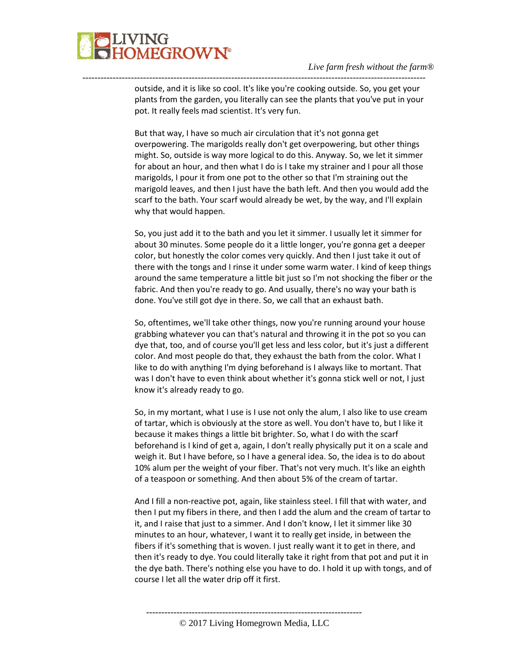

outside, and it is like so cool. It's like you're cooking outside. So, you get your plants from the garden, you literally can see the plants that you've put in your pot. It really feels mad scientist. It's very fun.

-----------------------------------------------------------------------------------------------------------------

But that way, I have so much air circulation that it's not gonna get overpowering. The marigolds really don't get overpowering, but other things might. So, outside is way more logical to do this. Anyway. So, we let it simmer for about an hour, and then what I do is I take my strainer and I pour all those marigolds, I pour it from one pot to the other so that I'm straining out the marigold leaves, and then I just have the bath left. And then you would add the scarf to the bath. Your scarf would already be wet, by the way, and I'll explain why that would happen.

So, you just add it to the bath and you let it simmer. I usually let it simmer for about 30 minutes. Some people do it a little longer, you're gonna get a deeper color, but honestly the color comes very quickly. And then I just take it out of there with the tongs and I rinse it under some warm water. I kind of keep things around the same temperature a little bit just so I'm not shocking the fiber or the fabric. And then you're ready to go. And usually, there's no way your bath is done. You've still got dye in there. So, we call that an exhaust bath.

So, oftentimes, we'll take other things, now you're running around your house grabbing whatever you can that's natural and throwing it in the pot so you can dye that, too, and of course you'll get less and less color, but it's just a different color. And most people do that, they exhaust the bath from the color. What I like to do with anything I'm dying beforehand is I always like to mortant. That was I don't have to even think about whether it's gonna stick well or not, I just know it's already ready to go.

So, in my mortant, what I use is I use not only the alum, I also like to use cream of tartar, which is obviously at the store as well. You don't have to, but I like it because it makes things a little bit brighter. So, what I do with the scarf beforehand is I kind of get a, again, I don't really physically put it on a scale and weigh it. But I have before, so I have a general idea. So, the idea is to do about 10% alum per the weight of your fiber. That's not very much. It's like an eighth of a teaspoon or something. And then about 5% of the cream of tartar.

And I fill a non-reactive pot, again, like stainless steel. I fill that with water, and then I put my fibers in there, and then I add the alum and the cream of tartar to it, and I raise that just to a simmer. And I don't know, I let it simmer like 30 minutes to an hour, whatever, I want it to really get inside, in between the fibers if it's something that is woven. I just really want it to get in there, and then it's ready to dye. You could literally take it right from that pot and put it in the dye bath. There's nothing else you have to do. I hold it up with tongs, and of course I let all the water drip off it first.

----------------------------------------------------------------------- © 2017 Living Homegrown Media, LLC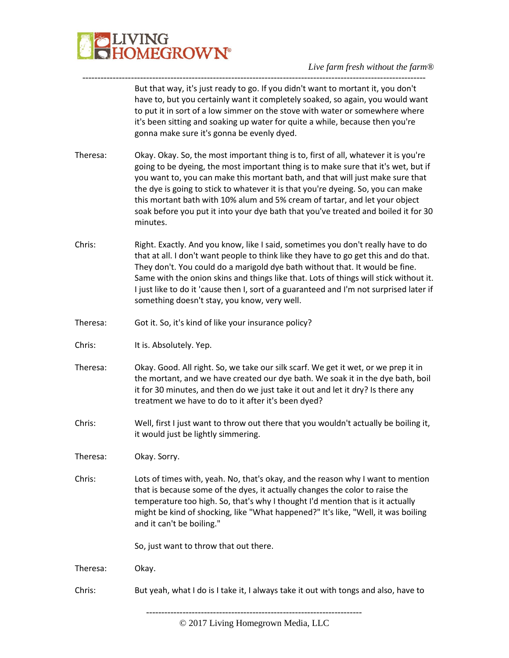

But that way, it's just ready to go. If you didn't want to mortant it, you don't have to, but you certainly want it completely soaked, so again, you would want to put it in sort of a low simmer on the stove with water or somewhere where it's been sitting and soaking up water for quite a while, because then you're gonna make sure it's gonna be evenly dyed.

Theresa: Okay. Okay. So, the most important thing is to, first of all, whatever it is you're going to be dyeing, the most important thing is to make sure that it's wet, but if you want to, you can make this mortant bath, and that will just make sure that the dye is going to stick to whatever it is that you're dyeing. So, you can make this mortant bath with 10% alum and 5% cream of tartar, and let your object soak before you put it into your dye bath that you've treated and boiled it for 30 minutes.

-----------------------------------------------------------------------------------------------------------------

- Chris: Right. Exactly. And you know, like I said, sometimes you don't really have to do that at all. I don't want people to think like they have to go get this and do that. They don't. You could do a marigold dye bath without that. It would be fine. Same with the onion skins and things like that. Lots of things will stick without it. I just like to do it 'cause then I, sort of a guaranteed and I'm not surprised later if something doesn't stay, you know, very well.
- Theresa: Got it. So, it's kind of like your insurance policy?
- Chris: It is. Absolutely. Yep.
- Theresa: Okay. Good. All right. So, we take our silk scarf. We get it wet, or we prep it in the mortant, and we have created our dye bath. We soak it in the dye bath, boil it for 30 minutes, and then do we just take it out and let it dry? Is there any treatment we have to do to it after it's been dyed?
- Chris: Well, first I just want to throw out there that you wouldn't actually be boiling it, it would just be lightly simmering.

Theresa: Okay. Sorry.

Chris: Lots of times with, yeah. No, that's okay, and the reason why I want to mention that is because some of the dyes, it actually changes the color to raise the temperature too high. So, that's why I thought I'd mention that is it actually might be kind of shocking, like "What happened?" It's like, "Well, it was boiling and it can't be boiling."

So, just want to throw that out there.

Theresa: Okay.

Chris: But yeah, what I do is I take it, I always take it out with tongs and also, have to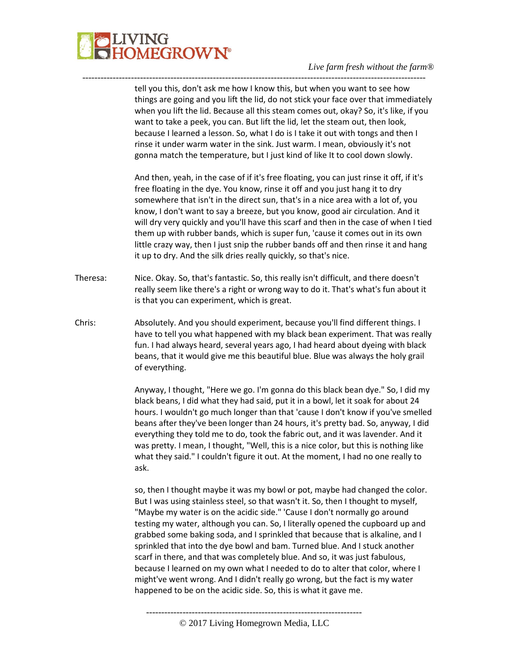## **LIVING<br>HOMEGROWN®**

#### *Live farm fresh without the farm®*

tell you this, don't ask me how I know this, but when you want to see how things are going and you lift the lid, do not stick your face over that immediately when you lift the lid. Because all this steam comes out, okay? So, it's like, if you want to take a peek, you can. But lift the lid, let the steam out, then look, because I learned a lesson. So, what I do is I take it out with tongs and then I rinse it under warm water in the sink. Just warm. I mean, obviously it's not gonna match the temperature, but I just kind of like It to cool down slowly.

-----------------------------------------------------------------------------------------------------------------

And then, yeah, in the case of if it's free floating, you can just rinse it off, if it's free floating in the dye. You know, rinse it off and you just hang it to dry somewhere that isn't in the direct sun, that's in a nice area with a lot of, you know, I don't want to say a breeze, but you know, good air circulation. And it will dry very quickly and you'll have this scarf and then in the case of when I tied them up with rubber bands, which is super fun, 'cause it comes out in its own little crazy way, then I just snip the rubber bands off and then rinse it and hang it up to dry. And the silk dries really quickly, so that's nice.

- Theresa: Nice. Okay. So, that's fantastic. So, this really isn't difficult, and there doesn't really seem like there's a right or wrong way to do it. That's what's fun about it is that you can experiment, which is great.
- Chris: Absolutely. And you should experiment, because you'll find different things. I have to tell you what happened with my black bean experiment. That was really fun. I had always heard, several years ago, I had heard about dyeing with black beans, that it would give me this beautiful blue. Blue was always the holy grail of everything.

Anyway, I thought, "Here we go. I'm gonna do this black bean dye." So, I did my black beans, I did what they had said, put it in a bowl, let it soak for about 24 hours. I wouldn't go much longer than that 'cause I don't know if you've smelled beans after they've been longer than 24 hours, it's pretty bad. So, anyway, I did everything they told me to do, took the fabric out, and it was lavender. And it was pretty. I mean, I thought, "Well, this is a nice color, but this is nothing like what they said." I couldn't figure it out. At the moment, I had no one really to ask.

so, then I thought maybe it was my bowl or pot, maybe had changed the color. But I was using stainless steel, so that wasn't it. So, then I thought to myself, "Maybe my water is on the acidic side." 'Cause I don't normally go around testing my water, although you can. So, I literally opened the cupboard up and grabbed some baking soda, and I sprinkled that because that is alkaline, and I sprinkled that into the dye bowl and bam. Turned blue. And I stuck another scarf in there, and that was completely blue. And so, it was just fabulous, because I learned on my own what I needed to do to alter that color, where I might've went wrong. And I didn't really go wrong, but the fact is my water happened to be on the acidic side. So, this is what it gave me.